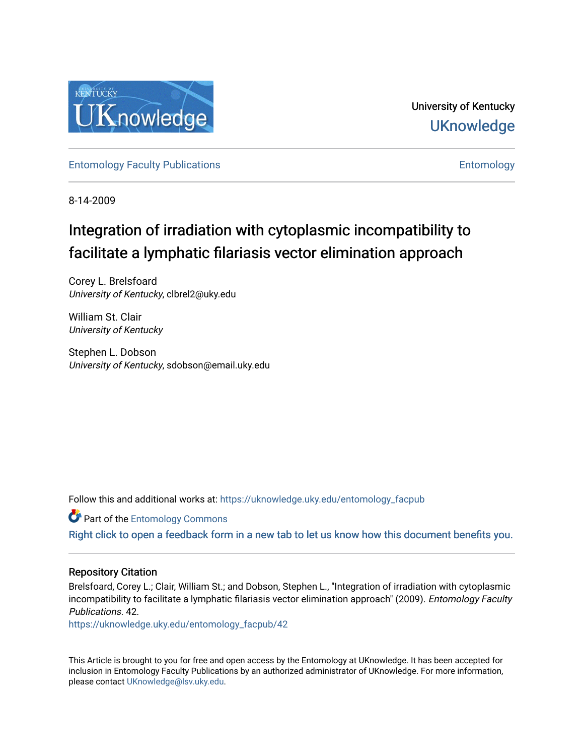

University of Kentucky **UKnowledge** 

[Entomology Faculty Publications](https://uknowledge.uky.edu/entomology_facpub) [Entomology](https://uknowledge.uky.edu/entomology) 

8-14-2009

# Integration of irradiation with cytoplasmic incompatibility to facilitate a lymphatic filariasis vector elimination approach

Corey L. Brelsfoard University of Kentucky, clbrel2@uky.edu

William St. Clair University of Kentucky

Stephen L. Dobson University of Kentucky, sdobson@email.uky.edu

Follow this and additional works at: [https://uknowledge.uky.edu/entomology\\_facpub](https://uknowledge.uky.edu/entomology_facpub?utm_source=uknowledge.uky.edu%2Fentomology_facpub%2F42&utm_medium=PDF&utm_campaign=PDFCoverPages)

**Part of the Entomology Commons** 

[Right click to open a feedback form in a new tab to let us know how this document benefits you.](https://uky.az1.qualtrics.com/jfe/form/SV_9mq8fx2GnONRfz7)

#### Repository Citation

Brelsfoard, Corey L.; Clair, William St.; and Dobson, Stephen L., "Integration of irradiation with cytoplasmic incompatibility to facilitate a lymphatic filariasis vector elimination approach" (2009). Entomology Faculty Publications. 42.

[https://uknowledge.uky.edu/entomology\\_facpub/42](https://uknowledge.uky.edu/entomology_facpub/42?utm_source=uknowledge.uky.edu%2Fentomology_facpub%2F42&utm_medium=PDF&utm_campaign=PDFCoverPages) 

This Article is brought to you for free and open access by the Entomology at UKnowledge. It has been accepted for inclusion in Entomology Faculty Publications by an authorized administrator of UKnowledge. For more information, please contact [UKnowledge@lsv.uky.edu.](mailto:UKnowledge@lsv.uky.edu)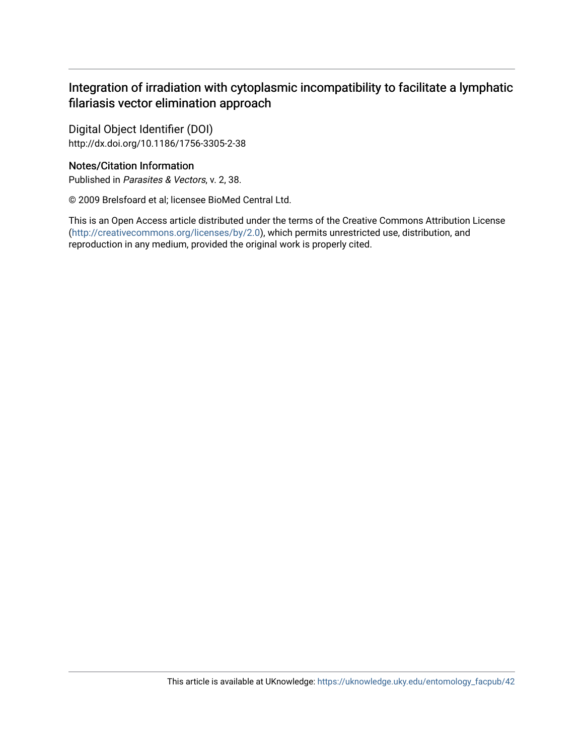## Integration of irradiation with cytoplasmic incompatibility to facilitate a lymphatic filariasis vector elimination approach

Digital Object Identifier (DOI) http://dx.doi.org/10.1186/1756-3305-2-38

### Notes/Citation Information

Published in Parasites & Vectors, v. 2, 38.

© 2009 Brelsfoard et al; licensee BioMed Central Ltd.

This is an Open Access article distributed under the terms of the Creative Commons Attribution License [\(http://creativecommons.org/licenses/by/2.0\)](http://creativecommons.org/licenses/by/2.0), which permits unrestricted use, distribution, and reproduction in any medium, provided the original work is properly cited.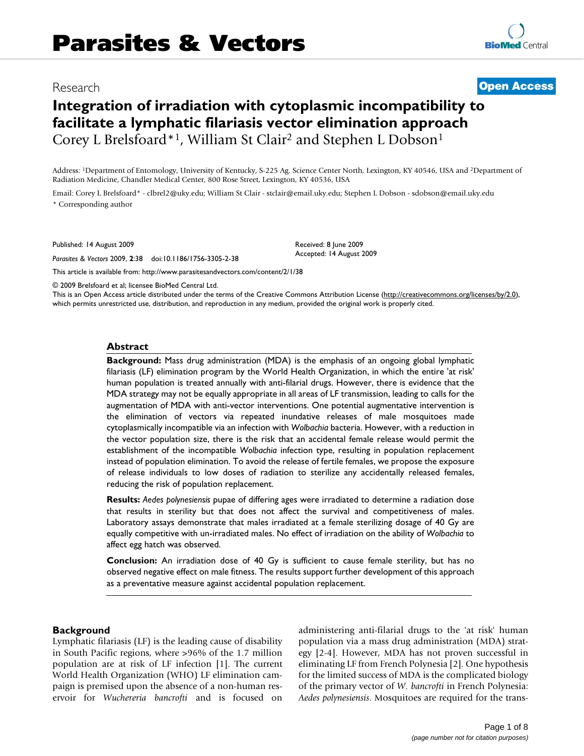## Research **[Open Access](http://www.biomedcentral.com/info/about/charter/)**

## **Integration of irradiation with cytoplasmic incompatibility to facilitate a lymphatic filariasis vector elimination approach** Corey L Brelsfoard\*1, William St Clair2 and Stephen L Dobson1

Address: 1Department of Entomology, University of Kentucky, S-225 Ag. Science Center North, Lexington, KY 40546, USA and 2Department of Radiation Medicine, Chandler Medical Center, 800 Rose Street, Lexington, KY 40536, USA

Email: Corey L Brelsfoard\* - clbrel2@uky.edu; William St Clair - stclair@email.uky.edu; Stephen L Dobson - sdobson@email.uky.edu \* Corresponding author

Published: 14 August 2009

*Parasites & Vectors* 2009, **2**:38 doi:10.1186/1756-3305-2-38

Received: 8 June 2009 Accepted: 14 August 2009

[This article is available from: http://www.parasitesandvectors.com/content/2/1/38](http://www.parasitesandvectors.com/content/2/1/38)

© 2009 Brelsfoard et al; licensee BioMed Central Ltd.

This is an Open Access article distributed under the terms of the Creative Commons Attribution License [\(http://creativecommons.org/licenses/by/2.0\)](http://creativecommons.org/licenses/by/2.0), which permits unrestricted use, distribution, and reproduction in any medium, provided the original work is properly cited.

#### **Abstract**

**Background:** Mass drug administration (MDA) is the emphasis of an ongoing global lymphatic filariasis (LF) elimination program by the World Health Organization, in which the entire 'at risk' human population is treated annually with anti-filarial drugs. However, there is evidence that the MDA strategy may not be equally appropriate in all areas of LF transmission, leading to calls for the augmentation of MDA with anti-vector interventions. One potential augmentative intervention is the elimination of vectors via repeated inundative releases of male mosquitoes made cytoplasmically incompatible via an infection with *Wolbachia* bacteria. However, with a reduction in the vector population size, there is the risk that an accidental female release would permit the establishment of the incompatible *Wolbachia* infection type, resulting in population replacement instead of population elimination. To avoid the release of fertile females, we propose the exposure of release individuals to low doses of radiation to sterilize any accidentally released females, reducing the risk of population replacement.

**Results:** *Aedes polynesiensis* pupae of differing ages were irradiated to determine a radiation dose that results in sterility but that does not affect the survival and competitiveness of males. Laboratory assays demonstrate that males irradiated at a female sterilizing dosage of 40 Gy are equally competitive with un-irradiated males. No effect of irradiation on the ability of *Wolbachia* to affect egg hatch was observed.

**Conclusion:** An irradiation dose of 40 Gy is sufficient to cause female sterility, but has no observed negative effect on male fitness. The results support further development of this approach as a preventative measure against accidental population replacement.

#### **Background**

Lymphatic filariasis (LF) is the leading cause of disability in South Pacific regions, where >96% of the 1.7 million population are at risk of LF infection [1]. The current World Health Organization (WHO) LF elimination campaign is premised upon the absence of a non-human reservoir for *Wuchereria bancrofti* and is focused on administering anti-filarial drugs to the 'at risk' human population via a mass drug administration (MDA) strategy [2-4]. However, MDA has not proven successful in eliminating LF from French Polynesia [2]. One hypothesis for the limited success of MDA is the complicated biology of the primary vector of *W. bancrofti* in French Polynesia: *Aedes polynesiensis*. Mosquitoes are required for the trans-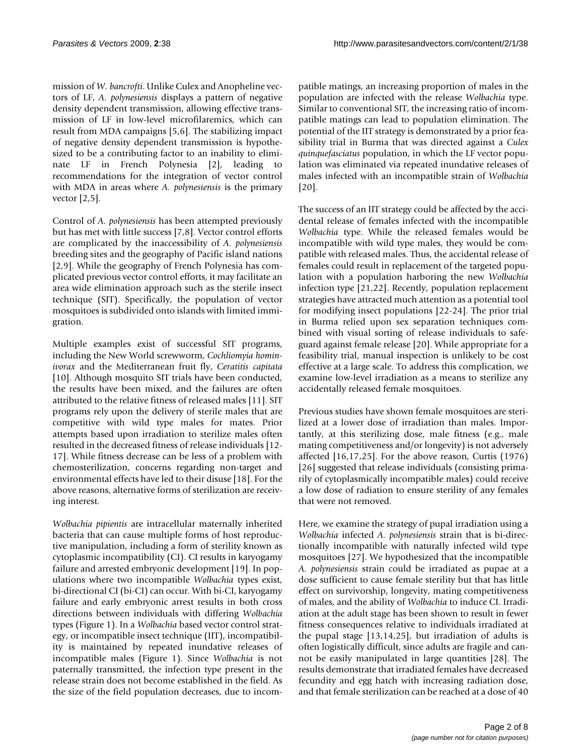mission of *W. bancrofti*. Unlike Culex and Anopheline vectors of LF, *A. polynesiensis* displays a pattern of negative density dependent transmission, allowing effective transmission of LF in low-level microfilaremics, which can result from MDA campaigns [5,6]. The stabilizing impact of negative density dependent transmission is hypothesized to be a contributing factor to an inability to eliminate LF in French Polynesia [2], leading to recommendations for the integration of vector control with MDA in areas where *A. polynesiensis* is the primary vector  $[2,5]$ .

Control of *A. polynesiensis* has been attempted previously but has met with little success [[7](#page-9-0),[8](#page-9-1)]. Vector control efforts are complicated by the inaccessibility of *A. polynesiensis* breeding sites and the geography of Pacific island nations [2,9]. While the geography of French Polynesia has complicated previous vector control efforts, it may facilitate an area wide elimination approach such as the sterile insect technique (SIT). Specifically, the population of vector mosquitoes is subdivided onto islands with limited immigration.

Multiple examples exist of successful SIT programs, including the New World screwworm, *Cochliomyia hominivorax* and the Mediterranean fruit fly, *Ceratitis capitata* [10]. Although mosquito SIT trials have been conducted, the results have been mixed, and the failures are often attributed to the relative fitness of released males [11]. SIT programs rely upon the delivery of sterile males that are competitive with wild type males for mates. Prior attempts based upon irradiation to sterilize males often resulted in the decreased fitness of release individuals [12- [17\]](#page-9-2). While fitness decrease can be less of a problem with chemosterilization, concerns regarding non-target and environmental effects have led to their disuse [18]. For the above reasons, alternative forms of sterilization are receiving interest.

*Wolbachia pipientis* are intracellular maternally inherited bacteria that can cause multiple forms of host reproductive manipulation, including a form of sterility known as cytoplasmic incompatibility (CI). CI results in karyogamy failure and arrested embryonic development [19]. In populations where two incompatible *Wolbachia* types exist, bi-directional CI (bi-CI) can occur. With bi-CI, karyogamy failure and early embryonic arrest results in both cross directions between individuals with differing *Wolbachia* types (Figure 1). In a *Wolbachia* based vector control strategy, or incompatible insect technique (IIT), incompatibility is maintained by repeated inundative releases of incompatible males (Figure 1). Since *Wolbachia* is not paternally transmitted, the infection type present in the release strain does not become established in the field. As the size of the field population decreases, due to incompatible matings, an increasing proportion of males in the population are infected with the release *Wolbachia* type. Similar to conventional SIT, the increasing ratio of incompatible matings can lead to population elimination. The potential of the IIT strategy is demonstrated by a prior feasibility trial in Burma that was directed against a *Culex quinquefasciatus* population, in which the LF vector population was eliminated via repeated inundative releases of males infected with an incompatible strain of *Wolbachia* [20].

The success of an IIT strategy could be affected by the accidental release of females infected with the incompatible *Wolbachia* type. While the released females would be incompatible with wild type males, they would be compatible with released males. Thus, the accidental release of females could result in replacement of the targeted population with a population harboring the new *Wolbachia* infection type [21,22]. Recently, population replacement strategies have attracted much attention as a potential tool for modifying insect populations [22-24]. The prior trial in Burma relied upon sex separation techniques combined with visual sorting of release individuals to safeguard against female release [20]. While appropriate for a feasibility trial, manual inspection is unlikely to be cost effective at a large scale. To address this complication, we examine low-level irradiation as a means to sterilize any accidentally released female mosquitoes.

Previous studies have shown female mosquitoes are sterilized at a lower dose of irradiation than males. Importantly, at this sterilizing dose, male fitness (e.g., male mating competitiveness and/or longevity) is not adversely affected [16,[17,](#page-9-2)25]. For the above reason, Curtis (1976) [26] suggested that release individuals (consisting primarily of cytoplasmically incompatible males) could receive a low dose of radiation to ensure sterility of any females that were not removed.

Here, we examine the strategy of pupal irradiation using a *Wolbachia* infected *A. polynesiensis* strain that is bi-directionally incompatible with naturally infected wild type mosquitoes [27]. We hypothesized that the incompatible *A. polynesiensis* strain could be irradiated as pupae at a dose sufficient to cause female sterility but that has little effect on survivorship, longevity, mating competitiveness of males, and the ability of *Wolbachia* to induce CI. Irradiation at the adult stage has been shown to result in fewer fitness consequences relative to individuals irradiated at the pupal stage [13,14,25], but irradiation of adults is often logistically difficult, since adults are fragile and cannot be easily manipulated in large quantities [28]. The results demonstrate that irradiated females have decreased fecundity and egg hatch with increasing radiation dose, and that female sterilization can be reached at a dose of 40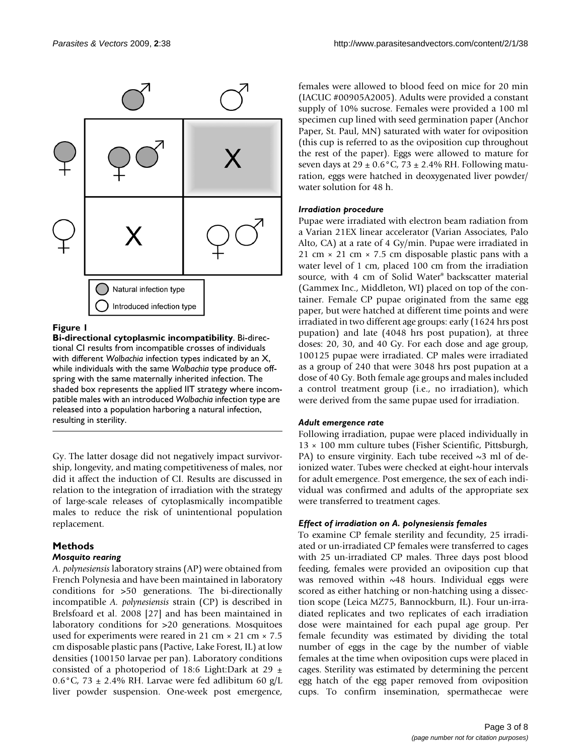

#### **Figure 1**

**Bi-directional cytoplasmic incompatibility**. Bi-directional CI results from incompatible crosses of individuals with different *Wolbachia* infection types indicated by an X, while individuals with the same *Wolbachia* type produce offspring with the same maternally inherited infection. The shaded box represents the applied IIT strategy where incompatible males with an introduced *Wolbachia* infection type are released into a population harboring a natural infection, resulting in sterility.

Gy. The latter dosage did not negatively impact survivorship, longevity, and mating competitiveness of males, nor did it affect the induction of CI. Results are discussed in relation to the integration of irradiation with the strategy of large-scale releases of cytoplasmically incompatible males to reduce the risk of unintentional population replacement.

#### **Methods**

#### *Mosquito rearing*

*A. polynesiensis* laboratory strains (AP) were obtained from French Polynesia and have been maintained in laboratory conditions for >50 generations. The bi-directionally incompatible *A. polynesiensis* strain (CP) is described in Brelsfoard et al. 2008 [27] and has been maintained in laboratory conditions for >20 generations. Mosquitoes used for experiments were reared in 21 cm  $\times$  21 cm  $\times$  7.5 cm disposable plastic pans (Pactive, Lake Forest, IL) at low densities (100150 larvae per pan). Laboratory conditions consisted of a photoperiod of 18:6 Light:Dark at 29  $\pm$ 0.6°C, 73  $\pm$  2.4% RH. Larvae were fed adlibitum 60 g/L liver powder suspension. One-week post emergence,

females were allowed to blood feed on mice for 20 min (IACUC #00905A2005). Adults were provided a constant supply of 10% sucrose. Females were provided a 100 ml specimen cup lined with seed germination paper (Anchor Paper, St. Paul, MN) saturated with water for oviposition (this cup is referred to as the oviposition cup throughout the rest of the paper). Eggs were allowed to mature for seven days at  $29 \pm 0.6$  °C,  $73 \pm 2.4$ % RH. Following maturation, eggs were hatched in deoxygenated liver powder/ water solution for 48 h.

#### *Irradiation procedure*

Pupae were irradiated with electron beam radiation from a Varian 21EX linear accelerator (Varian Associates, Palo Alto, CA) at a rate of 4 Gy/min. Pupae were irradiated in 21 cm  $\times$  21 cm  $\times$  7.5 cm disposable plastic pans with a water level of 1 cm, placed 100 cm from the irradiation source, with 4 cm of Solid Water® backscatter material (Gammex Inc., Middleton, WI) placed on top of the container. Female CP pupae originated from the same egg paper, but were hatched at different time points and were irradiated in two different age groups: early (1624 hrs post pupation) and late (4048 hrs post pupation), at three doses: 20, 30, and 40 Gy. For each dose and age group, 100125 pupae were irradiated. CP males were irradiated as a group of 240 that were 3048 hrs post pupation at a dose of 40 Gy. Both female age groups and males included a control treatment group (i.e., no irradiation), which were derived from the same pupae used for irradiation.

#### *Adult emergence rate*

Following irradiation, pupae were placed individually in 13 × 100 mm culture tubes (Fisher Scientific, Pittsburgh, PA) to ensure virginity. Each tube received ~3 ml of deionized water. Tubes were checked at eight-hour intervals for adult emergence. Post emergence, the sex of each individual was confirmed and adults of the appropriate sex were transferred to treatment cages.

#### *Effect of irradiation on A. polynesiensis females*

To examine CP female sterility and fecundity, 25 irradiated or un-irradiated CP females were transferred to cages with 25 un-irradiated CP males. Three days post blood feeding, females were provided an oviposition cup that was removed within  $~48$  hours. Individual eggs were scored as either hatching or non-hatching using a dissection scope (Leica MZ75, Bannockburn, IL). Four un-irradiated replicates and two replicates of each irradiation dose were maintained for each pupal age group. Per female fecundity was estimated by dividing the total number of eggs in the cage by the number of viable females at the time when oviposition cups were placed in cages. Sterility was estimated by determining the percent egg hatch of the egg paper removed from oviposition cups. To confirm insemination, spermathecae were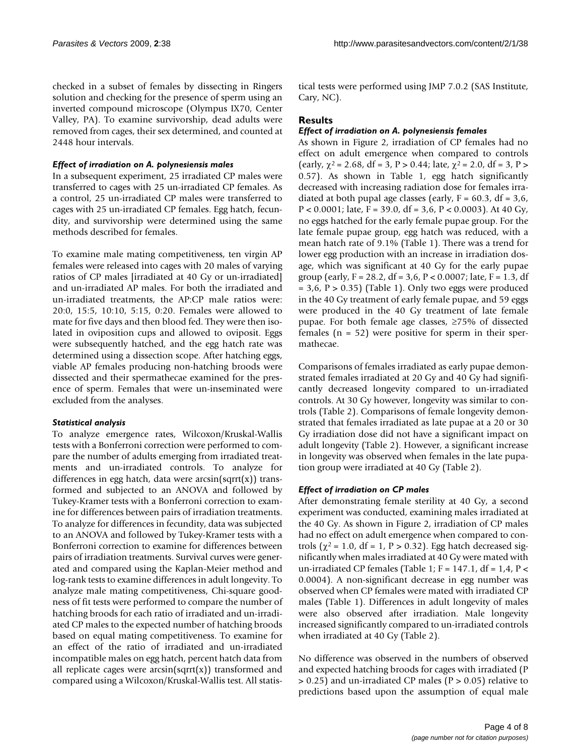checked in a subset of females by dissecting in Ringers solution and checking for the presence of sperm using an inverted compound microscope (Olympus IX70, Center Valley, PA). To examine survivorship, dead adults were removed from cages, their sex determined, and counted at 2448 hour intervals.

#### *Effect of irradiation on A. polynesiensis males*

In a subsequent experiment, 25 irradiated CP males were transferred to cages with 25 un-irradiated CP females. As a control, 25 un-irradiated CP males were transferred to cages with 25 un-irradiated CP females. Egg hatch, fecundity, and survivorship were determined using the same methods described for females.

To examine male mating competitiveness, ten virgin AP females were released into cages with 20 males of varying ratios of CP males [irradiated at 40 Gy or un-irradiated] and un-irradiated AP males. For both the irradiated and un-irradiated treatments, the AP:CP male ratios were: 20:0, 15:5, 10:10, 5:15, 0:20. Females were allowed to mate for five days and then blood fed. They were then isolated in oviposition cups and allowed to oviposit. Eggs were subsequently hatched, and the egg hatch rate was determined using a dissection scope. After hatching eggs, viable AP females producing non-hatching broods were dissected and their spermathecae examined for the presence of sperm. Females that were un-inseminated were excluded from the analyses.

#### *Statistical analysis*

To analyze emergence rates, Wilcoxon/Kruskal-Wallis tests with a Bonferroni correction were performed to compare the number of adults emerging from irradiated treatments and un-irradiated controls. To analyze for differences in egg hatch, data were  $arcsin(sqrt(x))$  transformed and subjected to an ANOVA and followed by Tukey-Kramer tests with a Bonferroni correction to examine for differences between pairs of irradiation treatments. To analyze for differences in fecundity, data was subjected to an ANOVA and followed by Tukey-Kramer tests with a Bonferroni correction to examine for differences between pairs of irradiation treatments. Survival curves were generated and compared using the Kaplan-Meier method and log-rank tests to examine differences in adult longevity. To analyze male mating competitiveness, Chi-square goodness of fit tests were performed to compare the number of hatching broods for each ratio of irradiated and un-irradiated CP males to the expected number of hatching broods based on equal mating competitiveness. To examine for an effect of the ratio of irradiated and un-irradiated incompatible males on egg hatch, percent hatch data from all replicate cages were  $arcsin(sqrt(x))$  transformed and compared using a Wilcoxon/Kruskal-Wallis test. All statistical tests were performed using JMP 7.0.2 (SAS Institute, Cary, NC).

#### **Results**

#### *Effect of irradiation on A. polynesiensis females*

As shown in Figure 2, irradiation of CP females had no effect on adult emergence when compared to controls (early,  $\chi^2$  = 2.68, df = 3, P > 0.44; late,  $\chi^2$  = 2.0, df = 3, P > 0.57). As shown in Table 1, egg hatch significantly decreased with increasing radiation dose for females irradiated at both pupal age classes (early,  $F = 60.3$ , df = 3,6,  $P < 0.0001$ ; late,  $F = 39.0$ , df = 3,6,  $P < 0.0003$ ). At 40 Gy, no eggs hatched for the early female pupae group. For the late female pupae group, egg hatch was reduced, with a mean hatch rate of 9.1% (Table 1). There was a trend for lower egg production with an increase in irradiation dosage, which was significant at 40 Gy for the early pupae group (early,  $F = 28.2$ ,  $df = 3.6$ ,  $P < 0.0007$ ; late,  $F = 1.3$ , df  $= 3.6$ ,  $P > 0.35$ ) (Table 1). Only two eggs were produced in the 40 Gy treatment of early female pupae, and 59 eggs were produced in the 40 Gy treatment of late female pupae. For both female age classes, ≥75% of dissected females ( $n = 52$ ) were positive for sperm in their spermathecae.

Comparisons of females irradiated as early pupae demonstrated females irradiated at 20 Gy and 40 Gy had significantly decreased longevity compared to un-irradiated controls. At 30 Gy however, longevity was similar to controls (Table 2). Comparisons of female longevity demonstrated that females irradiated as late pupae at a 20 or 30 Gy irradiation dose did not have a significant impact on adult longevity (Table 2). However, a significant increase in longevity was observed when females in the late pupation group were irradiated at 40 Gy (Table 2).

#### *Effect of irradiation on CP males*

After demonstrating female sterility at 40 Gy, a second experiment was conducted, examining males irradiated at the 40 Gy. As shown in Figure 2, irradiation of CP males had no effect on adult emergence when compared to controls ( $\chi^2$  = 1.0, df = 1, P > 0.32). Egg hatch decreased significantly when males irradiated at 40 Gy were mated with un-irradiated CP females (Table 1;  $F = 147.1$ , df = 1,4, P < 0.0004). A non-significant decrease in egg number was observed when CP females were mated with irradiated CP males (Table 1). Differences in adult longevity of males were also observed after irradiation. Male longevity increased significantly compared to un-irradiated controls when irradiated at 40 Gy (Table 2).

No difference was observed in the numbers of observed and expected hatching broods for cages with irradiated (P  $> 0.25$ ) and un-irradiated CP males (P  $> 0.05$ ) relative to predictions based upon the assumption of equal male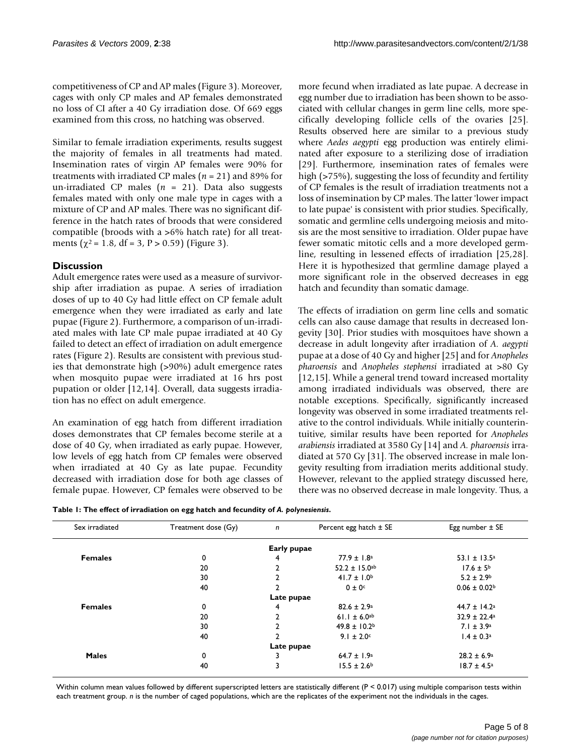competitiveness of CP and AP males (Figure 3). Moreover, cages with only CP males and AP females demonstrated no loss of CI after a 40 Gy irradiation dose. Of 669 eggs examined from this cross, no hatching was observed.

Similar to female irradiation experiments, results suggest the majority of females in all treatments had mated. Insemination rates of virgin AP females were 90% for treatments with irradiated CP males (*n* = 21) and 89% for un-irradiated CP males (*n* = 21). Data also suggests females mated with only one male type in cages with a mixture of CP and AP males. There was no significant difference in the hatch rates of broods that were considered compatible (broods with a >6% hatch rate) for all treatments ( $\chi^2$  = 1.8, df = 3, P > 0.59) (Figure 3).

#### **Discussion**

Adult emergence rates were used as a measure of survivorship after irradiation as pupae. A series of irradiation doses of up to 40 Gy had little effect on CP female adult emergence when they were irradiated as early and late pupae (Figure 2). Furthermore, a comparison of un-irradiated males with late CP male pupae irradiated at 40 Gy failed to detect an effect of irradiation on adult emergence rates (Figure 2). Results are consistent with previous studies that demonstrate high (>90%) adult emergence rates when mosquito pupae were irradiated at 16 hrs post pupation or older [12,14]. Overall, data suggests irradiation has no effect on adult emergence.

An examination of egg hatch from different irradiation doses demonstrates that CP females become sterile at a dose of 40 Gy, when irradiated as early pupae. However, low levels of egg hatch from CP females were observed when irradiated at 40 Gy as late pupae. Fecundity decreased with irradiation dose for both age classes of female pupae. However, CP females were observed to be more fecund when irradiated as late pupae. A decrease in egg number due to irradiation has been shown to be associated with cellular changes in germ line cells, more specifically developing follicle cells of the ovaries [25]. Results observed here are similar to a previous study where *Aedes aegypti* egg production was entirely eliminated after exposure to a sterilizing dose of irradiation [29]. Furthermore, insemination rates of females were high (>75%), suggesting the loss of fecundity and fertility of CP females is the result of irradiation treatments not a loss of insemination by CP males. The latter 'lower impact to late pupae' is consistent with prior studies. Specifically, somatic and germline cells undergoing meiosis and mitosis are the most sensitive to irradiation. Older pupae have fewer somatic mitotic cells and a more developed germline, resulting in lessened effects of irradiation [25,28]. Here it is hypothesized that germline damage played a more significant role in the observed decreases in egg hatch and fecundity than somatic damage.

The effects of irradiation on germ line cells and somatic cells can also cause damage that results in decreased longevity [30]. Prior studies with mosquitoes have shown a decrease in adult longevity after irradiation of *A. aegypti* pupae at a dose of 40 Gy and higher [25] and for *Anopheles pharoensis* and *Anopheles stephensi* irradiated at >80 Gy [12,15]. While a general trend toward increased mortality among irradiated individuals was observed, there are notable exceptions. Specifically, significantly increased longevity was observed in some irradiated treatments relative to the control individuals. While initially counterintuitive, similar results have been reported for *Anopheles arabiensis* irradiated at 3580 Gy [14] and *A. pharoensis* irradiated at 570 Gy [31]. The observed increase in male longevity resulting from irradiation merits additional study. However, relevant to the applied strategy discussed here, there was no observed decrease in male longevity. Thus, a

**Table 1: The effect of irradiation on egg hatch and fecundity of** *A. polynesiensis***.**

| Sex irradiated | Treatment dose (Gy) | $\mathsf{n}$       | Percent egg hatch ± SE       | Egg number $\pm$ SE          |
|----------------|---------------------|--------------------|------------------------------|------------------------------|
|                |                     | <b>Early pupae</b> |                              |                              |
| <b>Females</b> | 0                   | 4                  | $77.9 \pm 1.8^a$             | 53.1 ± 13.5 <sup>a</sup>     |
|                | 20                  |                    | $52.2 \pm 15.0$ ab           | $17.6 \pm 5^{b}$             |
|                | 30                  |                    | $41.7 \pm 1.0^b$             | $5.2 \pm 2.9^{\circ}$        |
|                | 40                  |                    | $0 \pm 0$ <sup>c</sup>       | $0.06 \pm 0.02$ <sup>b</sup> |
|                |                     | Late pupae         |                              |                              |
| <b>Females</b> | 0                   | 4                  | $82.6 \pm 2.9^{\circ}$       | $44.7 \pm 14.2$ <sup>a</sup> |
|                | 20                  | $\overline{2}$     | 61.1 ± 6.0 <sup>ab</sup>     | $32.9 \pm 22.4^{\circ}$      |
|                | 30                  |                    | $49.8 \pm 10.2$ <sup>b</sup> | $7.1 \pm 3.9^{\circ}$        |
|                | 40                  |                    | 9.1 ± 2.0 $\degree$          | $1.4 \pm 0.3^a$              |
|                |                     | Late pupae         |                              |                              |
| <b>Males</b>   | 0                   | 3                  | $64.7 \pm 1.9^{\circ}$       | $28.2 \pm 6.9^{\circ}$       |
|                | 40                  | 3                  | $15.5 \pm 2.6^{\circ}$       | $18.7 \pm 4.5^{\circ}$       |

Within column mean values followed by different superscripted letters are statistically different (P < 0.017) using multiple comparison tests within each treatment group. *n* is the number of caged populations, which are the replicates of the experiment not the individuals in the cages.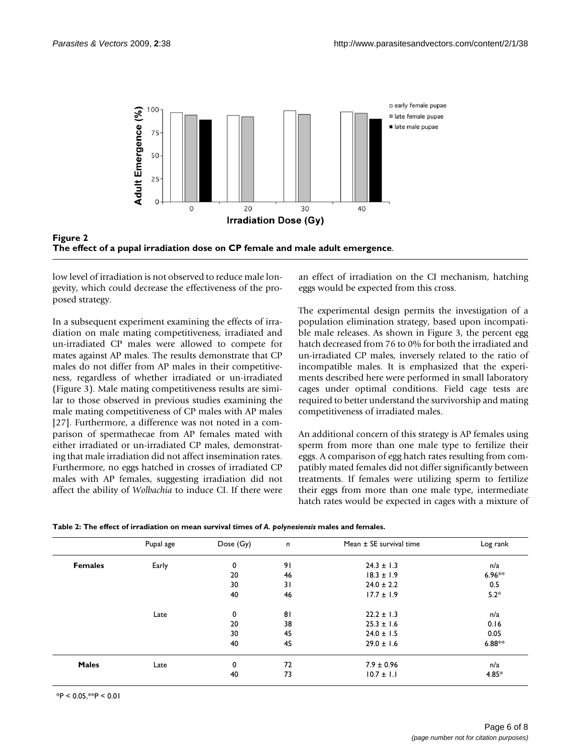



low level of irradiation is not observed to reduce male longevity, which could decrease the effectiveness of the proposed strategy.

In a subsequent experiment examining the effects of irradiation on male mating competitiveness, irradiated and un-irradiated CP males were allowed to compete for mates against AP males. The results demonstrate that CP males do not differ from AP males in their competitiveness, regardless of whether irradiated or un-irradiated (Figure 3). Male mating competitiveness results are similar to those observed in previous studies examining the male mating competitiveness of CP males with AP males [27]. Furthermore, a difference was not noted in a comparison of spermathecae from AP females mated with either irradiated or un-irradiated CP males, demonstrating that male irradiation did not affect insemination rates. Furthermore, no eggs hatched in crosses of irradiated CP males with AP females, suggesting irradiation did not affect the ability of *Wolbachia* to induce CI. If there were an effect of irradiation on the CI mechanism, hatching eggs would be expected from this cross.

The experimental design permits the investigation of a population elimination strategy, based upon incompatible male releases. As shown in Figure 3, the percent egg hatch decreased from 76 to 0% for both the irradiated and un-irradiated CP males, inversely related to the ratio of incompatible males. It is emphasized that the experiments described here were performed in small laboratory cages under optimal conditions. Field cage tests are required to better understand the survivorship and mating competitiveness of irradiated males.

An additional concern of this strategy is AP females using sperm from more than one male type to fertilize their eggs. A comparison of egg hatch rates resulting from compatibly mated females did not differ significantly between treatments. If females were utilizing sperm to fertilize their eggs from more than one male type, intermediate hatch rates would be expected in cages with a mixture of

|  | Table 2: The effect of irradiation on mean survival times of A. polynesiensis males and females. |  |  |
|--|--------------------------------------------------------------------------------------------------|--|--|
|  |                                                                                                  |  |  |

|                | Pupal age | Dose (Gy) | n  | Mean ± SE survival time | Log rank |
|----------------|-----------|-----------|----|-------------------------|----------|
| <b>Females</b> | Early     | 0         | 91 | $24.3 \pm 1.3$          | n/a      |
|                |           | 20        | 46 | $18.3 \pm 1.9$          | $6.96**$ |
|                |           | 30        | 31 | $24.0 \pm 2.2$          | 0.5      |
|                |           | 40        | 46 | $17.7 \pm 1.9$          | $5.2*$   |
|                | Late      | 0         | 81 | $22.2 \pm 1.3$          | n/a      |
|                |           | 20        | 38 | $25.3 \pm 1.6$          | 0.16     |
|                |           | 30        | 45 | $24.0 \pm 1.5$          | 0.05     |
|                |           | 40        | 45 | $29.0 \pm 1.6$          | $6.88**$ |
| <b>Males</b>   | Late      | 0         | 72 | $7.9 \pm 0.96$          | n/a      |
|                |           | 40        | 73 | $10.7 \pm 1.1$          | $4.85*$  |

 $*P < 0.05, **P < 0.01$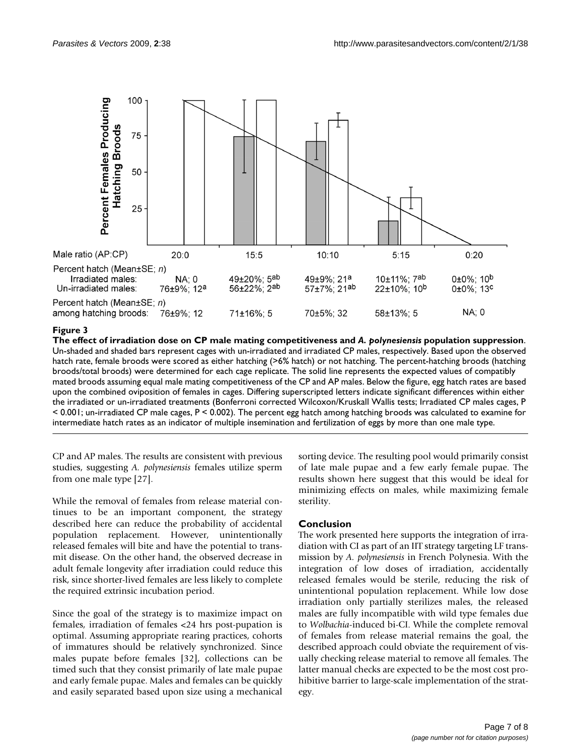

#### **Figure 3** The effect of irradiation dose on CP male mating competitiveness and *A. polynesiensis* population suppression

**The effect of irradiation dose on CP male mating competitiveness and** *A. polynesiensis* **population suppression**. Un-shaded and shaded bars represent cages with un-irradiated and irradiated CP males, respectively. Based upon the observed hatch rate, female broods were scored as either hatching (>6% hatch) or not hatching. The percent-hatching broods (hatching broods/total broods) were determined for each cage replicate. The solid line represents the expected values of compatibly mated broods assuming equal male mating competitiveness of the CP and AP males. Below the figure, egg hatch rates are based upon the combined oviposition of females in cages. Differing superscripted letters indicate significant differences within either the irradiated or un-irradiated treatments (Bonferroni corrected Wilcoxon/Kruskall Wallis tests; Irradiated CP males cages, P < 0.001; un-irradiated CP male cages, P < 0.002). The percent egg hatch among hatching broods was calculated to examine for intermediate hatch rates as an indicator of multiple insemination and fertilization of eggs by more than one male type.

CP and AP males. The results are consistent with previous studies, suggesting *A. polynesiensis* females utilize sperm from one male type [27].

While the removal of females from release material continues to be an important component, the strategy described here can reduce the probability of accidental population replacement. However, unintentionally released females will bite and have the potential to transmit disease. On the other hand, the observed decrease in adult female longevity after irradiation could reduce this risk, since shorter-lived females are less likely to complete the required extrinsic incubation period.

Since the goal of the strategy is to maximize impact on females, irradiation of females <24 hrs post-pupation is optimal. Assuming appropriate rearing practices, cohorts of immatures should be relatively synchronized. Since males pupate before females [32], collections can be timed such that they consist primarily of late male pupae and early female pupae. Males and females can be quickly and easily separated based upon size using a mechanical

sorting device. The resulting pool would primarily consist of late male pupae and a few early female pupae. The results shown here suggest that this would be ideal for minimizing effects on males, while maximizing female sterility.

#### **Conclusion**

The work presented here supports the integration of irradiation with CI as part of an IIT strategy targeting LF transmission by *A. polynesiensis* in French Polynesia. With the integration of low doses of irradiation, accidentally released females would be sterile, reducing the risk of unintentional population replacement. While low dose irradiation only partially sterilizes males, the released males are fully incompatible with wild type females due to *Wolbachia*-induced bi-CI. While the complete removal of females from release material remains the goal, the described approach could obviate the requirement of visually checking release material to remove all females. The latter manual checks are expected to be the most cost prohibitive barrier to large-scale implementation of the strategy.